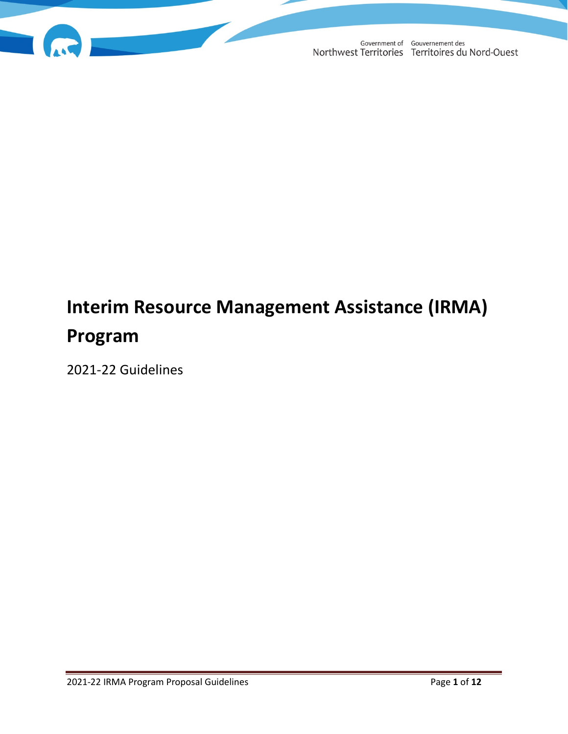

# **Interim Resource Management Assistance (IRMA) Program**

2021-22 Guidelines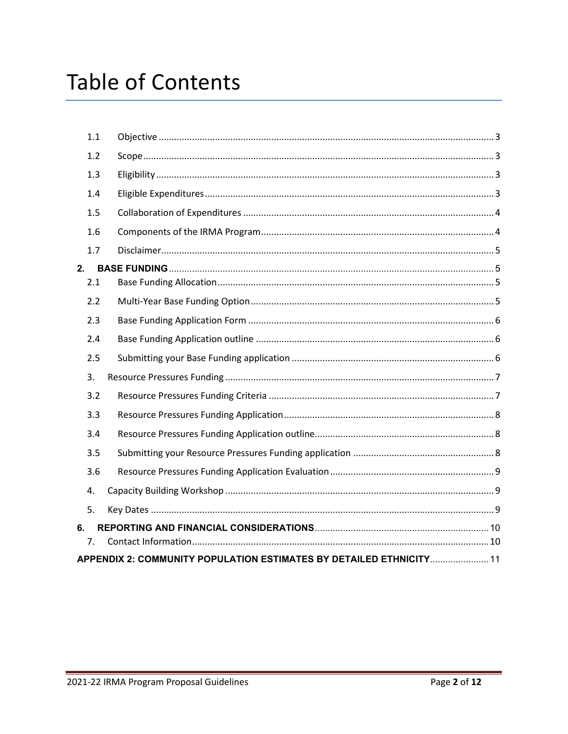| 7.  | APPENDIX 2: COMMUNITY POPULATION ESTIMATES BY DETAILED ETHNICITY 11 |  |
|-----|---------------------------------------------------------------------|--|
| 6.  |                                                                     |  |
| 5.  |                                                                     |  |
| 4.  |                                                                     |  |
| 3.6 |                                                                     |  |
| 3.5 |                                                                     |  |
| 3.4 |                                                                     |  |
| 3.3 |                                                                     |  |
| 3.2 |                                                                     |  |
| 3.  |                                                                     |  |
| 2.5 |                                                                     |  |
| 2.4 |                                                                     |  |
| 2.3 |                                                                     |  |
| 2.2 |                                                                     |  |
| 2.1 |                                                                     |  |
| 2.  |                                                                     |  |
| 1.7 |                                                                     |  |
| 1.6 |                                                                     |  |
| 1.5 |                                                                     |  |
| 1.4 |                                                                     |  |
| 1.3 |                                                                     |  |
| 1.2 |                                                                     |  |
| 1.1 |                                                                     |  |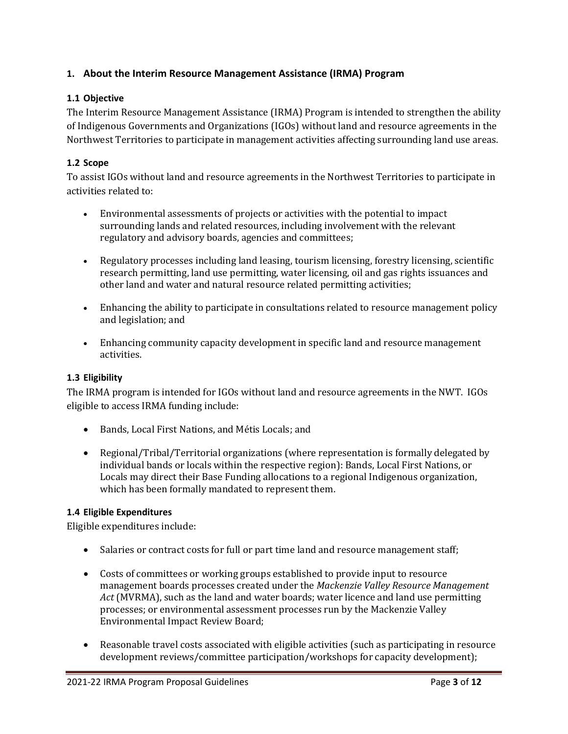## **1. About the Interim Resource Management Assistance (IRMA) Program**

#### <span id="page-2-0"></span>**1.1 Objective**

The Interim Resource Management Assistance (IRMA) Program is intended to strengthen the ability of Indigenous Governments and Organizations (IGOs) without land and resource agreements in the Northwest Territories to participate in management activities affecting surrounding land use areas.

#### <span id="page-2-1"></span>**1.2 Scope**

To assist IGOs without land and resource agreements in the Northwest Territories to participate in activities related to:

- Environmental assessments of projects or activities with the potential to impact surrounding lands and related resources, including involvement with the relevant regulatory and advisory boards, agencies and committees;
- Regulatory processes including land leasing, tourism licensing, forestry licensing, scientific research permitting, land use permitting, water licensing, oil and gas rights issuances and other land and water and natural resource related permitting activities;
- Enhancing the ability to participate in consultations related to resource management policy and legislation; and
- Enhancing community capacity development in specific land and resource management activities.

#### <span id="page-2-2"></span>**1.3 Eligibility**

The IRMA program is intended for IGOs without land and resource agreements in the NWT. IGOs eligible to access IRMA funding include:

- Bands, Local First Nations, and Métis Locals; and
- Regional/Tribal/Territorial organizations (where representation is formally delegated by individual bands or locals within the respective region): Bands, Local First Nations, or Locals may direct their Base Funding allocations to a regional Indigenous organization, which has been formally mandated to represent them.

#### <span id="page-2-3"></span>**1.4 Eligible Expenditures**

Eligible expenditures include:

- Salaries or contract costs for full or part time land and resource management staff;
- Costs of committees or working groups established to provide input to resource management boards processes created under the *Mackenzie Valley Resource Management Act* (MVRMA), such as the land and water boards; water licence and land use permitting processes; or environmental assessment processes run by the Mackenzie Valley Environmental Impact Review Board;
- Reasonable travel costs associated with eligible activities (such as participating in resource development reviews/committee participation/workshops for capacity development);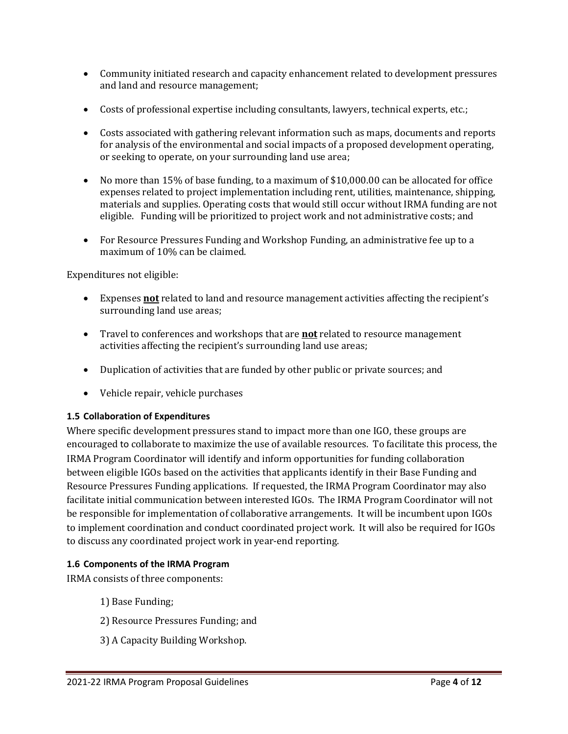- Community initiated research and capacity enhancement related to development pressures and land and resource management;
- Costs of professional expertise including consultants, lawyers, technical experts, etc.;
- Costs associated with gathering relevant information such as maps, documents and reports for analysis of the environmental and social impacts of a proposed development operating, or seeking to operate, on your surrounding land use area;
- No more than 15% of base funding, to a maximum of \$10,000.00 can be allocated for office expenses related to project implementation including rent, utilities, maintenance, shipping, materials and supplies. Operating costs that would still occur without IRMA funding are not eligible. Funding will be prioritized to project work and not administrative costs; and
- For Resource Pressures Funding and Workshop Funding, an administrative fee up to a maximum of 10% can be claimed.

Expenditures not eligible:

- Expenses **not** related to land and resource management activities affecting the recipient's surrounding land use areas;
- Travel to conferences and workshops that are **not** related to resource management activities affecting the recipient's surrounding land use areas;
- Duplication of activities that are funded by other public or private sources; and
- Vehicle repair, vehicle purchases

## <span id="page-3-0"></span>**1.5 Collaboration of Expenditures**

Where specific development pressures stand to impact more than one IGO, these groups are encouraged to collaborate to maximize the use of available resources. To facilitate this process, the IRMA Program Coordinator will identify and inform opportunities for funding collaboration between eligible IGOs based on the activities that applicants identify in their Base Funding and Resource Pressures Funding applications. If requested, the IRMA Program Coordinator may also facilitate initial communication between interested IGOs. The IRMA Program Coordinator will not be responsible for implementation of collaborative arrangements. It will be incumbent upon IGOs to implement coordination and conduct coordinated project work. It will also be required for IGOs to discuss any coordinated project work in year-end reporting.

## <span id="page-3-1"></span>**1.6 Components of the IRMA Program**

IRMA consists of three components:

- 1) Base Funding;
- 2) Resource Pressures Funding; and
- 3) A Capacity Building Workshop.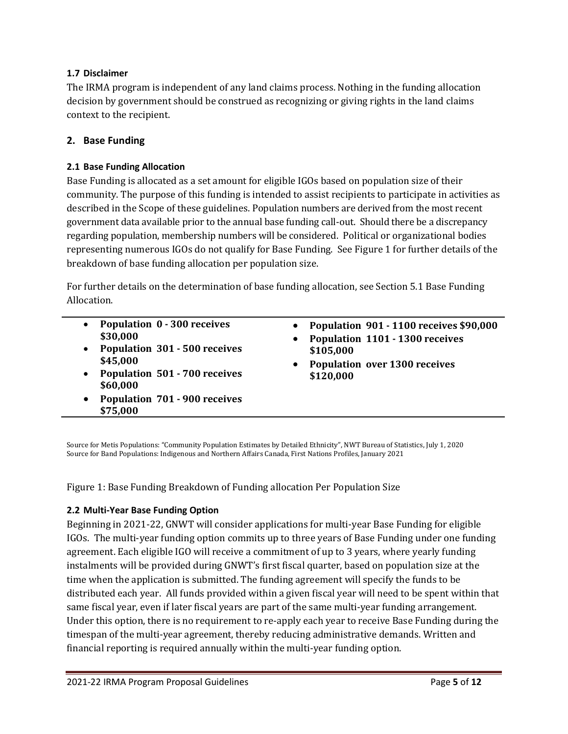## <span id="page-4-0"></span>**1.7 Disclaimer**

The IRMA program is independent of any land claims process. Nothing in the funding allocation decision by government should be construed as recognizing or giving rights in the land claims context to the recipient.

## <span id="page-4-1"></span>**2. Base Funding**

## <span id="page-4-2"></span>**2.1 Base Funding Allocation**

Base Funding is allocated as a set amount for eligible IGOs based on population size of their community. The purpose of this funding is intended to assist recipients to participate in activities as described in the Scope of these guidelines. Population numbers are derived from the most recent government data available prior to the annual base funding call-out. Should there be a discrepancy regarding population, membership numbers will be considered. Political or organizational bodies representing numerous IGOs do not qualify for Base Funding. See Figure 1 for further details of the breakdown of base funding allocation per population size.

For further details on the determination of base funding allocation, see Section 5.1 Base Funding Allocation.

- **Population 0 - 300 receives \$30,000**
- **Population 301 - 500 receives \$45,000**
- **Population 501 - 700 receives \$60,000**
- **Population 701 - 900 receives \$75,000**
- **Population 901 - 1100 receives \$90,000**
- **Population 1101 - 1300 receives \$105,000**
- **Population over 1300 receives \$120,000**

Source for Metis Populations: "Community Population Estimates by Detailed Ethnicity", NWT Bureau of Statistics, July 1, 2020 Source for Band Populations: Indigenous and Northern Affairs Canada, First Nations Profiles, January 2021

Figure 1: Base Funding Breakdown of Funding allocation Per Population Size

## <span id="page-4-3"></span>**2.2 Multi-Year Base Funding Option**

Beginning in 2021-22, GNWT will consider applications for multi-year Base Funding for eligible IGOs. The multi-year funding option commits up to three years of Base Funding under one funding agreement. Each eligible IGO will receive a commitment of up to 3 years, where yearly funding instalments will be provided during GNWT's first fiscal quarter, based on population size at the time when the application is submitted. The funding agreement will specify the funds to be distributed each year. All funds provided within a given fiscal year will need to be spent within that same fiscal year, even if later fiscal years are part of the same multi-year funding arrangement. Under this option, there is no requirement to re-apply each year to receive Base Funding during the timespan of the multi-year agreement, thereby reducing administrative demands. Written and financial reporting is required annually within the multi-year funding option.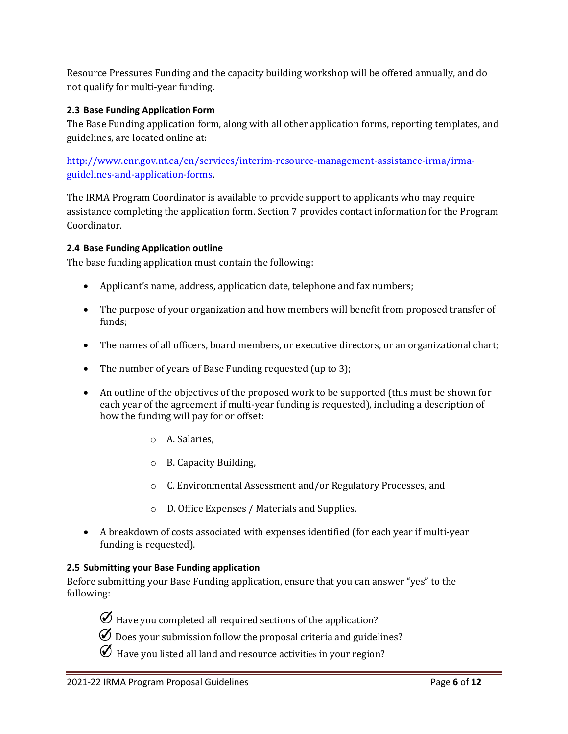Resource Pressures Funding and the capacity building workshop will be offered annually, and do not qualify for multi-year funding.

#### <span id="page-5-0"></span>**2.3 Base Funding Application Form**

The Base Funding application form, along with all other application forms, reporting templates, and guidelines, are located online at:

[http://www.enr.gov.nt.ca/en/services/interim-resource-management-assistance-irma/irma](http://www.enr.gov.nt.ca/en/services/interim-resource-management-assistance-irma/irma-guidelines-and-application-forms)[guidelines-and-application-forms.](http://www.enr.gov.nt.ca/en/services/interim-resource-management-assistance-irma/irma-guidelines-and-application-forms)

The IRMA Program Coordinator is available to provide support to applicants who may require assistance completing the application form. Section 7 provides contact information for the Program Coordinator.

#### <span id="page-5-1"></span>**2.4 Base Funding Application outline**

The base funding application must contain the following:

- Applicant's name, address, application date, telephone and fax numbers;
- The purpose of your organization and how members will benefit from proposed transfer of funds;
- The names of all officers, board members, or executive directors, or an organizational chart;
- The number of years of Base Funding requested (up to 3);
- An outline of the objectives of the proposed work to be supported (this must be shown for each year of the agreement if multi-year funding is requested), including a description of how the funding will pay for or offset:
	- o A. Salaries,
	- o B. Capacity Building,
	- o C. Environmental Assessment and/or Regulatory Processes, and
	- o D. Office Expenses / Materials and Supplies.
- A breakdown of costs associated with expenses identified (for each year if multi-year funding is requested).

#### <span id="page-5-2"></span>**2.5 Submitting your Base Funding application**

Before submitting your Base Funding application, ensure that you can answer "yes" to the following:

 $\emptyset$  Have you completed all required sections of the application?

- $\emptyset$  Does your submission follow the proposal criteria and guidelines?
- $\emptyset$  Have you listed all land and resource activities in your region?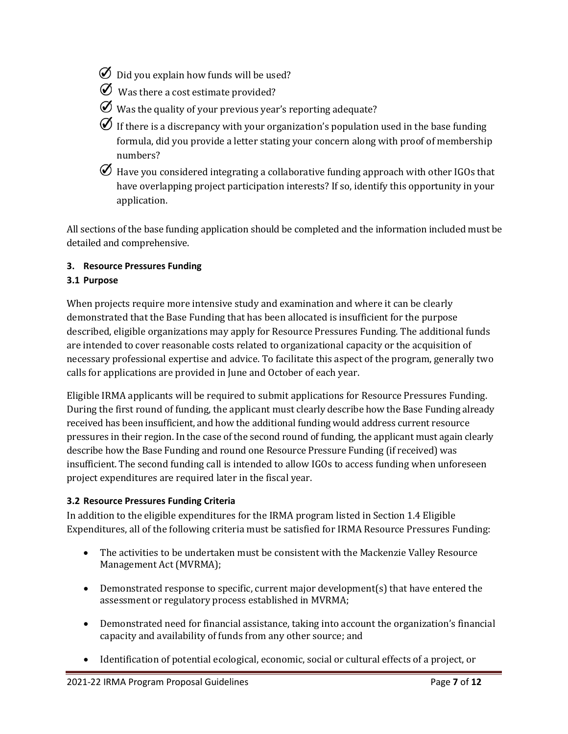- $\emptyset$  Did you explain how funds will be used?
- $\emptyset$  Was there a cost estimate provided?
- $\emptyset$  Was the quality of your previous year's reporting adequate?
- $\emptyset$  If there is a discrepancy with your organization's population used in the base funding formula, did you provide a letter stating your concern along with proof of membership numbers?
- $\mathcal O$  Have you considered integrating a collaborative funding approach with other IGOs that have overlapping project participation interests? If so, identify this opportunity in your application.

All sections of the base funding application should be completed and the information included must be detailed and comprehensive.

## <span id="page-6-0"></span>**3. Resource Pressures Funding**

## **3.1 Purpose**

When projects require more intensive study and examination and where it can be clearly demonstrated that the Base Funding that has been allocated is insufficient for the purpose described, eligible organizations may apply for Resource Pressures Funding. The additional funds are intended to cover reasonable costs related to organizational capacity or the acquisition of necessary professional expertise and advice. To facilitate this aspect of the program, generally two calls for applications are provided in June and October of each year.

Eligible IRMA applicants will be required to submit applications for Resource Pressures Funding. During the first round of funding, the applicant must clearly describe how the Base Funding already received has been insufficient, and how the additional funding would address current resource pressures in their region. In the case of the second round of funding, the applicant must again clearly describe how the Base Funding and round one Resource Pressure Funding (if received) was insufficient. The second funding call is intended to allow IGOs to access funding when unforeseen project expenditures are required later in the fiscal year.

## <span id="page-6-1"></span>**3.2 Resource Pressures Funding Criteria**

In addition to the eligible expenditures for the IRMA program listed in Section 1.4 Eligible Expenditures, all of the following criteria must be satisfied for IRMA Resource Pressures Funding:

- The activities to be undertaken must be consistent with the Mackenzie Valley Resource Management Act (MVRMA);
- Demonstrated response to specific, current major development(s) that have entered the assessment or regulatory process established in MVRMA;
- Demonstrated need for financial assistance, taking into account the organization's financial capacity and availability of funds from any other source; and
- Identification of potential ecological, economic, social or cultural effects of a project, or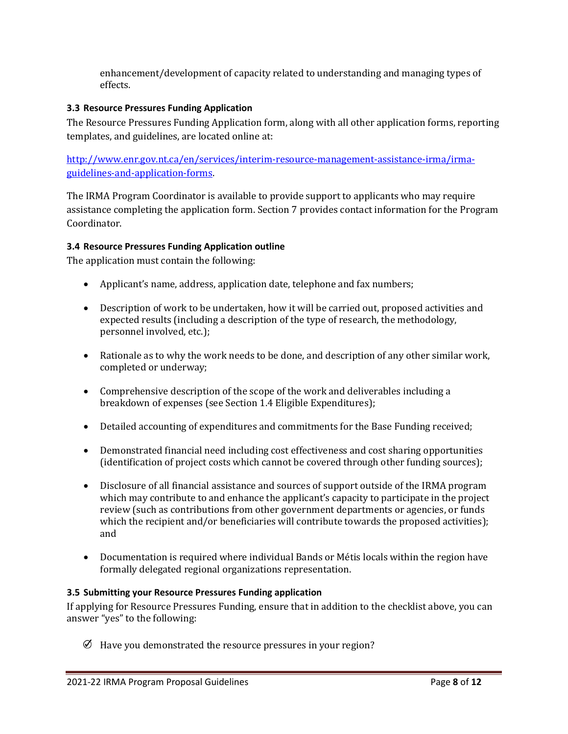enhancement/development of capacity related to understanding and managing types of effects.

#### <span id="page-7-0"></span>**3.3 Resource Pressures Funding Application**

The Resource Pressures Funding Application form, along with all other application forms, reporting templates, and guidelines, are located online at:

[http://www.enr.gov.nt.ca/en/services/interim-resource-management-assistance-irma/irma](http://www.enr.gov.nt.ca/en/services/interim-resource-management-assistance-irma/irma-guidelines-and-application-forms)[guidelines-and-application-forms.](http://www.enr.gov.nt.ca/en/services/interim-resource-management-assistance-irma/irma-guidelines-and-application-forms)

The IRMA Program Coordinator is available to provide support to applicants who may require assistance completing the application form. Section 7 provides contact information for the Program Coordinator.

#### <span id="page-7-1"></span>**3.4 Resource Pressures Funding Application outline**

The application must contain the following:

- Applicant's name, address, application date, telephone and fax numbers;
- Description of work to be undertaken, how it will be carried out, proposed activities and expected results (including a description of the type of research, the methodology, personnel involved, etc.);
- Rationale as to why the work needs to be done, and description of any other similar work, completed or underway;
- Comprehensive description of the scope of the work and deliverables including a breakdown of expenses (see Section 1.4 Eligible Expenditures);
- Detailed accounting of expenditures and commitments for the Base Funding received;
- Demonstrated financial need including cost effectiveness and cost sharing opportunities (identification of project costs which cannot be covered through other funding sources);
- Disclosure of all financial assistance and sources of support outside of the IRMA program which may contribute to and enhance the applicant's capacity to participate in the project review (such as contributions from other government departments or agencies, or funds which the recipient and/or beneficiaries will contribute towards the proposed activities); and
- Documentation is required where individual Bands or Métis locals within the region have formally delegated regional organizations representation.

#### <span id="page-7-2"></span>**3.5 Submitting your Resource Pressures Funding application**

If applying for Resource Pressures Funding, ensure that in addition to the checklist above, you can answer "yes" to the following:

 $\emptyset$  Have you demonstrated the resource pressures in your region?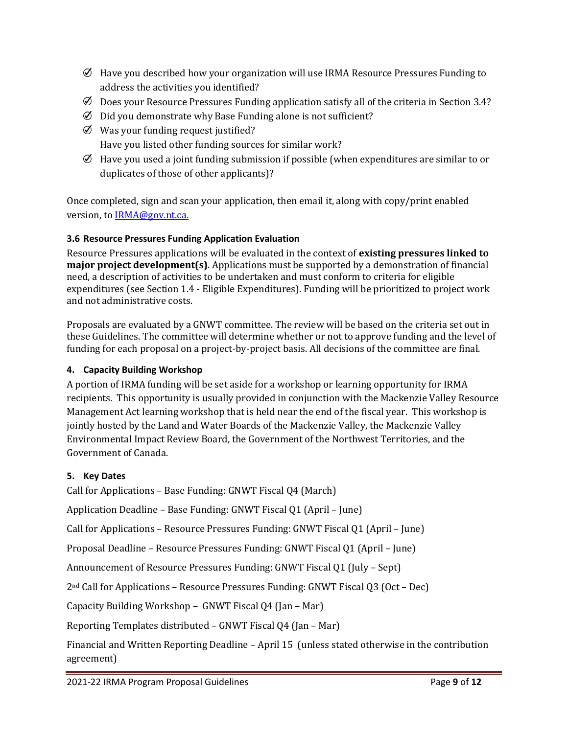- $\emptyset$  Have you described how your organization will use IRMA Resource Pressures Funding to address the activities you identified?
- $\emptyset$  Does your Resource Pressures Funding application satisfy all of the criteria in Section 3.4?
- $\emptyset$  Did you demonstrate why Base Funding alone is not sufficient?
- $\emptyset$  Was your funding request justified? Have you listed other funding sources for similar work?
- $\emptyset$  Have you used a joint funding submission if possible (when expenditures are similar to or duplicates of those of other applicants)?

Once completed, sign and scan your application, then email it, along with copy/print enabled version, to [IRMA@gov.nt.ca.](http://diims.pws.gov.nt.ca/yk32vapp04pdav/nodes/41703732/IRMA%40gov.nt.ca)

## <span id="page-8-0"></span>**3.6 Resource Pressures Funding Application Evaluation**

Resource Pressures applications will be evaluated in the context of **existing pressures linked to major project development(s)**. Applications must be supported by a demonstration of financial need, a description of activities to be undertaken and must conform to criteria for eligible expenditures (see Section 1.4 - Eligible Expenditures). Funding will be prioritized to project work and not administrative costs.

Proposals are evaluated by a GNWT committee. The review will be based on the criteria set out in these Guidelines. The committee will determine whether or not to approve funding and the level of funding for each proposal on a project-by-project basis. All decisions of the committee are final.

#### <span id="page-8-1"></span>**4. Capacity Building Workshop**

A portion of IRMA funding will be set aside for a workshop or learning opportunity for IRMA recipients. This opportunity is usually provided in conjunction with the Mackenzie Valley Resource Management Act learning workshop that is held near the end of the fiscal year. This workshop is jointly hosted by the Land and Water Boards of the Mackenzie Valley, the Mackenzie Valley Environmental Impact Review Board, the Government of the Northwest Territories, and the Government of Canada.

#### <span id="page-8-2"></span>**5. Key Dates**

Call for Applications – Base Funding: GNWT Fiscal Q4 (March)

Application Deadline – Base Funding: GNWT Fiscal Q1 (April – June)

Call for Applications – Resource Pressures Funding: GNWT Fiscal Q1 (April – June)

Proposal Deadline – Resource Pressures Funding: GNWT Fiscal Q1 (April – June)

Announcement of Resource Pressures Funding: GNWT Fiscal Q1 (July – Sept)

2nd Call for Applications – Resource Pressures Funding: GNWT Fiscal Q3 (Oct – Dec)

Capacity Building Workshop – GNWT Fiscal Q4 (Jan – Mar)

Reporting Templates distributed – GNWT Fiscal Q4 (Jan – Mar)

Financial and Written Reporting Deadline – April 15 (unless stated otherwise in the contribution agreement)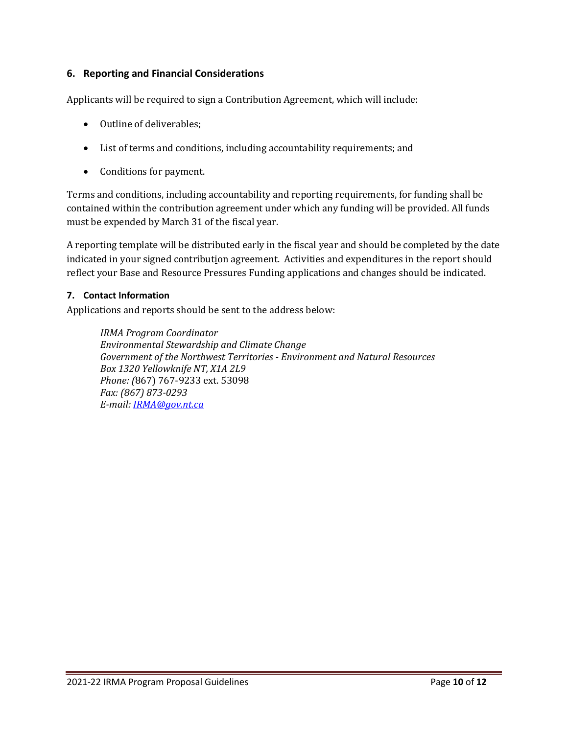## <span id="page-9-0"></span>**6. Reporting and Financial Considerations**

Applicants will be required to sign a Contribution Agreement, which will include:

- Outline of deliverables;
- List of terms and conditions, including accountability requirements; and
- Conditions for payment.

Terms and conditions, including accountability and reporting requirements, for funding shall be contained within the contribution agreement under which any funding will be provided. All funds must be expended by March 31 of the fiscal year.

A reporting template will be distributed early in the fiscal year and should be completed by the date indicated in your signed contribution agreement. Activities and expenditures in the report should reflect your Base and Resource Pressures Funding applications and changes should be indicated.

#### <span id="page-9-1"></span>**7. Contact Information**

Applications and reports should be sent to the address below:

*IRMA Program Coordinator Environmental Stewardship and Climate Change Government of the Northwest Territories - Environment and Natural Resources Box 1320 Yellowknife NT, X1A 2L9 Phone: (*867) 767-9233 ext. 53098 *Fax: (867) 873-0293 E-mail[: IRMA@gov.nt.ca](http://diims.pws.gov.nt.ca/yk32vapp04pdav/nodes/41703732/IRMA%40gov.nt.ca)*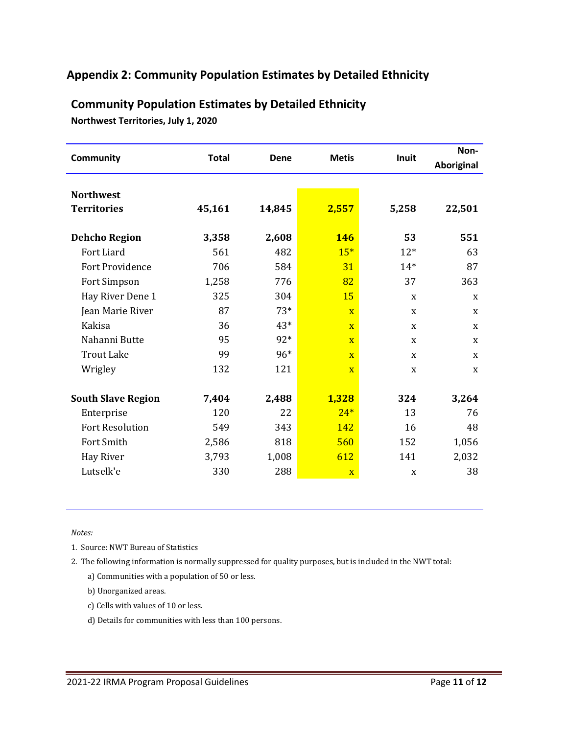## <span id="page-10-0"></span>**Appendix 2: Community Population Estimates by Detailed Ethnicity**

| <b>Community</b>                       | <b>Total</b> | <b>Dene</b> | <b>Metis</b>            | Inuit | Non-       |
|----------------------------------------|--------------|-------------|-------------------------|-------|------------|
|                                        |              |             |                         |       | Aboriginal |
| <b>Northwest</b><br><b>Territories</b> | 45,161       | 14,845      | 2,557                   | 5,258 | 22,501     |
|                                        |              |             |                         |       |            |
| <b>Dehcho Region</b>                   | 3,358        | 2,608       | <b>146</b>              | 53    | 551        |
| Fort Liard                             | 561          | 482         | $15*$                   | $12*$ | 63         |
| Fort Providence                        | 706          | 584         | 31                      | $14*$ | 87         |
| Fort Simpson                           | 1,258        | 776         | 82                      | 37    | 363        |
| Hay River Dene 1                       | 325          | 304         | 15                      | X     | X          |
| Jean Marie River                       | 87           | $73*$       | $\overline{X}$          | X     | X          |
| Kakisa                                 | 36           | $43*$       | $\overline{\mathbf{X}}$ | X     | X          |
| Nahanni Butte                          | 95           | 92*         | $\overline{\mathbf{X}}$ | X     | X          |
| <b>Trout Lake</b>                      | 99           | 96*         | $\mathbf{X}$            | X     | X          |
| Wrigley                                | 132          | 121         | $\overline{\mathbf{X}}$ | X     | X          |
|                                        |              |             |                         |       |            |
| <b>South Slave Region</b>              | 7,404        | 2,488       | 1,328                   | 324   | 3,264      |
| Enterprise                             | 120          | 22          | $24*$                   | 13    | 76         |
| <b>Fort Resolution</b>                 | 549          | 343         | 142                     | 16    | 48         |
| Fort Smith                             | 2,586        | 818         | 560                     | 152   | 1,056      |
| Hay River                              | 3,793        | 1,008       | 612                     | 141   | 2,032      |
| Lutselk'e                              | 330          | 288         | $\mathbf X$             | X     | 38         |

# **Community Population Estimates by Detailed Ethnicity**

**Northwest Territories, July 1, 2020**

*Notes:*

1. Source: NWT Bureau of Statistics

2. The following information is normally suppressed for quality purposes, but is included in the NWT total:

a) Communities with a population of 50 or less.

b) Unorganized areas.

- c) Cells with values of 10 or less.
- d) Details for communities with less than 100 persons.